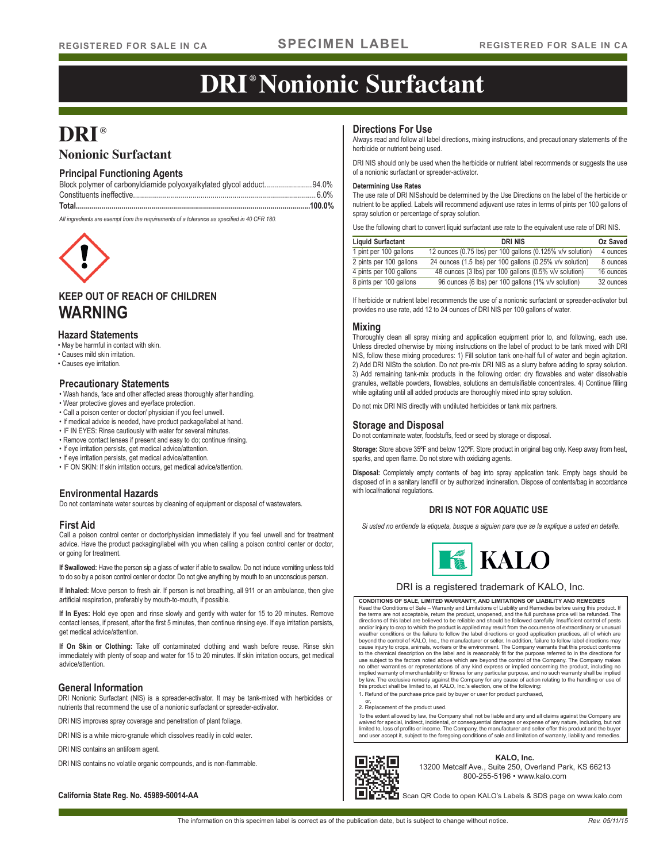# **DRI ® Nonionic Surfactant**

# **DRI®**

# **Nonionic Surfactant**

# **Principal Functioning Agents**

| Block polymer of carbonyldiamide polyoxyalkylated glycol adduct94.0% |  |
|----------------------------------------------------------------------|--|
|                                                                      |  |
|                                                                      |  |

*All ingredients are exempt from the requirements of a tolerance as specified in 40 CFR 180.*



# **KEEP OUT OF REACH OF CHILDREN WARNING**

## **Hazard Statements**

• May be harmful in contact with skin.

- Causes mild skin irritation.
- Causes eye irritation.

## **Precautionary Statements**

- Wash hands, face and other affected areas thoroughly after handling.
- Wear protective gloves and eye/face protection.
- Call a poison center or doctor/ physician if you feel unwell.
- If medical advice is needed, have product package/label at hand.
- IF IN EYES: Rinse cautiously with water for several minutes.
- Remove contact lenses if present and easy to do; continue rinsing.
- If eye irritation persists, get medical advice/attention.
- If eye irritation persists, get medical advice/attention.
- IF ON SKIN: If skin irritation occurs, get medical advice/attention.

# **Environmental Hazards Environmental Hazards Environmental Hazards Environmental Hazards Environmental Hazards**

Do not contaminate water sources by cleaning of equipment or disposal of wastewaters.

## **First Aid**

Call a poison control center or doctor/physician immediately if you feel unwell and for treatment advice. Have the product packaging/label with you when calling a poison control center or doctor, or going for treatment.

**If Swallowed:** Have the person sip a glass of water if able to swallow. Do not induce vomiting unless told to do so by a poison control center or doctor. Do not give anything by mouth to an unconscious person.

**If Inhaled:** Move person to fresh air. If person is not breathing, all 911 or an ambulance, then give artificial respiration, preferably by mouth-to-mouth, if possible.

**If In Eyes:** Hold eye open and rinse slowly and gently with water for 15 to 20 minutes. Remove contact lenses, if present, after the first 5 minutes, then continue rinsing eye. If eye irritation persists, get medical advice/attention.

**If On Skin or Clothing:** Take off contaminated clothing and wash before reuse. Rinse skin immediately with plenty of soap and water for 15 to 20 minutes. If skin irritation occurs, get medical advice/attention.

## **General Information**

DRI Nonionic Surfactant (NIS) is a spreader-activator. It may be tank-mixed with herbicides or nutrients that recommend the use of a nonionic surfactant or spreader-activator.

DRI NIS improves spray coverage and penetration of plant foliage.

DRI NIS is a white micro-granule which dissolves readily in cold water.

DRI NIS contains an antifoam agent.

DRI NIS contains no volatile organic compounds, and is non-flammable.

**California State Reg. No. 45989-50014-AA** 

## **Directions For Use**

Always read and follow all label directions, mixing instructions, and precautionary statements of the herbicide or nutrient being used.

DRI NIS should only be used when the herbicide or nutrient label recommends or suggests the use of a nonionic surfactant or spreader-activator.

#### **Determining Use Rates**

The use rate of DRI NISshould be determined by the Use Directions on the label of the herbicide or nutrient to be applied. Labels will recommend adjuvant use rates in terms of pints per 100 gallons of spray solution or percentage of spray solution.

Use the following chart to convert liquid surfactant use rate to the equivalent use rate of DRI NIS.

| <b>Liquid Surfactant</b> | <b>DRI NIS</b>                                             | Oz Saved  |
|--------------------------|------------------------------------------------------------|-----------|
| 1 pint per 100 gallons   | 12 ounces (0.75 lbs) per 100 gallons (0.125% v/v solution) | 4 ounces  |
| 2 pints per 100 gallons  | 24 ounces (1.5 lbs) per 100 gallons (0.25% v/v solution)   | 8 ounces  |
| 4 pints per 100 gallons  | 48 ounces (3 lbs) per 100 gallons (0.5% v/v solution)      | 16 ounces |
| 8 pints per 100 gallons  | 96 ounces (6 lbs) per 100 gallons (1% v/v solution)        | 32 ounces |

If herbicide or nutrient label recommends the use of a nonionic surfactant or spreader-activator but provides no use rate, add 12 to 24 ounces of DRI NIS per 100 gallons of water.

### **Mixing**

Thoroughly clean all spray mixing and application equipment prior to, and following, each use. Unless directed otherwise by mixing instructions on the label of product to be tank mixed with DRI NIS, follow these mixing procedures: 1) Fill solution tank one-half full of water and begin agitation. 2) Add DRI NISto the solution. Do not pre-mix DRI NIS as a slurry before adding to spray solution. 3) Add remaining tank-mix products in the following order: dry flowables and water dissolvable granules, wettable powders, flowables, solutions an demulsifiable concentrates. 4) Continue filling while agitating until all added products are thoroughly mixed into spray solution.

Do not mix DRI NIS directly with undiluted herbicides or tank mix partners.

## **Storage and Disposal**

Do not contaminate water, foodstuffs, feed or seed by storage or disposal.

**Storage:** Store above 35ºF and below 120ºF. Store product in original bag only. Keep away from heat, sparks, and open flame. Do not store with oxidizing agents.

**Disposal:** Completely empty contents of bag into spray application tank. Empty bags should be disposed of in a sanitary landfill or by authorized incineration. Dispose of contents/bag in accordance

## **DRI IS NOT FOR AQUATIC USE**

*Si usted no entiende la etiqueta, busque a alguien para que se la explique a usted en detalle.*



### DRI is a registered trademark of KALO, Inc.

**CONDITIONS OF SALE, LIMITED WARRANTY, AND LIMITATIONS OF LIABILITY AND REMEDIES** Read the Conditions of Sale – Warranty and Limitations of Liability and Remedies before using this product. If<br>the terms are not acceptable, return the product, unopened, and the full purchase price will be refunded. The<br>d weather conditions or the failure to follow the label directions or good application practices, all of which are<br>beyond the control of KALO, Inc., the manufacturer or seller. In addition, failure to follow label directions to the chemical description on the label and is reasonably fit for the purpose referred to in the directions for use subject to the factors noted above which are beyond the control of the Company. The Company makes<br>no other warranties or representations of any kind express or implied concerning the product, including no<br>implied warra by law. The exclusive remedy against the Company for any cause of action relating to the handling or use of this product shall be limited to, at KALO, Inc.'s election, one of the following:

1. Refund of the purchase price paid by buyer or user for product purchased,

or, 2. Replacement of the product used.

To the extent allowed by law, the Company shall not be liable and any and all claims against the Company are<br>waived for special, indirect, incidental, or consequential damages or expense of any nature, including, but not<br>l and user accept it, subject to the foregoing conditions of sale and limitation of warranty, liability and remedies.



#### **KALO, Inc.** 13200 Metcalf Ave., Suite 250, Overland Park, KS 66213 800-255-5196 • www.kalo.com

Scan QR Code to open KALO's Labels & SDS page on www.kalo.com